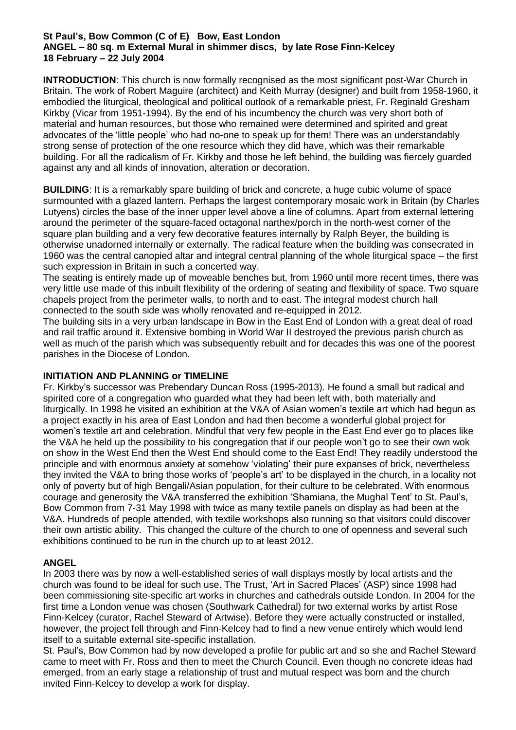#### **St Paul's, Bow Common (C of E) Bow, East London ANGEL – 80 sq. m External Mural in shimmer discs, by late Rose Finn-Kelcey 18 February – 22 July 2004**

**INTRODUCTION**: This church is now formally recognised as the most significant post-War Church in Britain. The work of Robert Maguire (architect) and Keith Murray (designer) and built from 1958-1960, it embodied the liturgical, theological and political outlook of a remarkable priest, Fr. Reginald Gresham Kirkby (Vicar from 1951-1994). By the end of his incumbency the church was very short both of material and human resources, but those who remained were determined and spirited and great advocates of the 'little people' who had no-one to speak up for them! There was an understandably strong sense of protection of the one resource which they did have, which was their remarkable building. For all the radicalism of Fr. Kirkby and those he left behind, the building was fiercely guarded against any and all kinds of innovation, alteration or decoration.

**BUILDING**: It is a remarkably spare building of brick and concrete, a huge cubic volume of space surmounted with a glazed lantern. Perhaps the largest contemporary mosaic work in Britain (by Charles Lutyens) circles the base of the inner upper level above a line of columns. Apart from external lettering around the perimeter of the square-faced octagonal narthex/porch in the north-west corner of the square plan building and a very few decorative features internally by Ralph Beyer, the building is otherwise unadorned internally or externally. The radical feature when the building was consecrated in 1960 was the central canopied altar and integral central planning of the whole liturgical space – the first such expression in Britain in such a concerted way.

The seating is entirely made up of moveable benches but, from 1960 until more recent times, there was very little use made of this inbuilt flexibility of the ordering of seating and flexibility of space. Two square chapels project from the perimeter walls, to north and to east. The integral modest church hall connected to the south side was wholly renovated and re-equipped in 2012.

The building sits in a very urban landscape in Bow in the East End of London with a great deal of road and rail traffic around it. Extensive bombing in World War II destroyed the previous parish church as well as much of the parish which was subsequently rebuilt and for decades this was one of the poorest parishes in the Diocese of London.

# **INITIATION AND PLANNING or TIMELINE**

Fr. Kirkby's successor was Prebendary Duncan Ross (1995-2013). He found a small but radical and spirited core of a congregation who guarded what they had been left with, both materially and liturgically. In 1998 he visited an exhibition at the V&A of Asian women's textile art which had begun as a project exactly in his area of East London and had then become a wonderful global project for women's textile art and celebration. Mindful that very few people in the East End ever go to places like the V&A he held up the possibility to his congregation that if our people won't go to see their own wok on show in the West End then the West End should come to the East End! They readily understood the principle and with enormous anxiety at somehow 'violating' their pure expanses of brick, nevertheless they invited the V&A to bring those works of 'people's art' to be displayed in the church, in a locality not only of poverty but of high Bengali/Asian population, for their culture to be celebrated. With enormous courage and generosity the V&A transferred the exhibition 'Shamiana, the Mughal Tent' to St. Paul's, Bow Common from 7-31 May 1998 with twice as many textile panels on display as had been at the V&A. Hundreds of people attended, with textile workshops also running so that visitors could discover their own artistic ability. This changed the culture of the church to one of openness and several such exhibitions continued to be run in the church up to at least 2012.

# **ANGEL**

In 2003 there was by now a well-established series of wall displays mostly by local artists and the church was found to be ideal for such use. The Trust, 'Art in Sacred Places' (ASP) since 1998 had been commissioning site-specific art works in churches and cathedrals outside London. In 2004 for the first time a London venue was chosen (Southwark Cathedral) for two external works by artist Rose Finn-Kelcey (curator, Rachel Steward of Artwise). Before they were actually constructed or installed, however, the project fell through and Finn-Kelcey had to find a new venue entirely which would lend itself to a suitable external site-specific installation.

St. Paul's, Bow Common had by now developed a profile for public art and so she and Rachel Steward came to meet with Fr. Ross and then to meet the Church Council. Even though no concrete ideas had emerged, from an early stage a relationship of trust and mutual respect was born and the church invited Finn-Kelcey to develop a work for display.